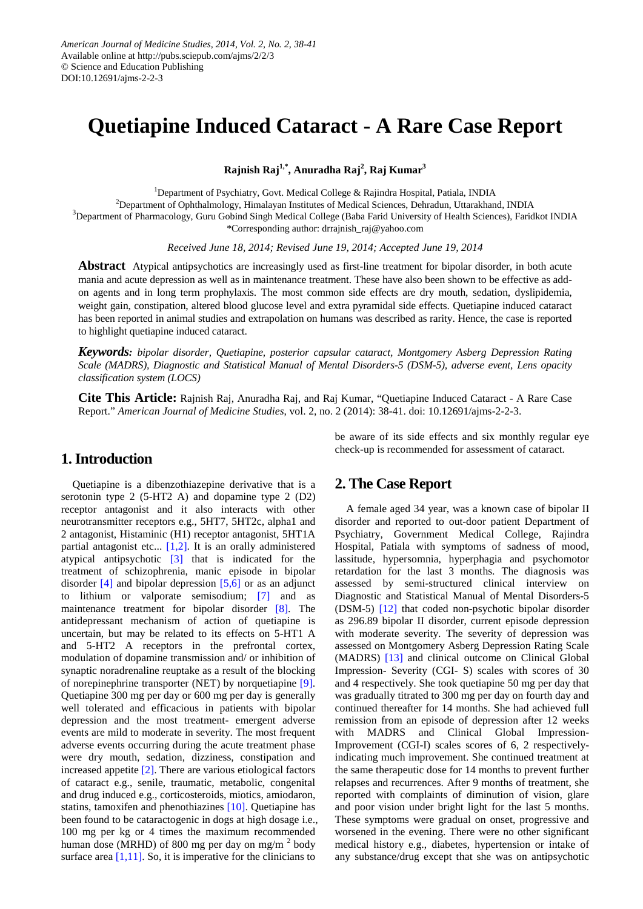# **Quetiapine Induced Cataract - A Rare Case Report**

**Rajnish Raj1,\* , Anuradha Raj<sup>2</sup> , Raj Kumar<sup>3</sup>**

<sup>1</sup>Department of Psychiatry, Govt. Medical College & Rajindra Hospital, Patiala, INDIA <sup>2</sup> Department of Ophthalmology, Himalayan Institutes of Medical Sciences, Dehradun, Uttarakhand, INDIA<br><sup>3</sup> Department of Pharmacelogy, Guru Gobind Singh Medical Collage (Pohe Egrid University of Health Sciences), Egrid <sup>3</sup>Department of Pharmacology, Guru Gobind Singh Medical College (Baba Farid University of Health Sciences), Faridkot INDIA \*Corresponding author: drrajnish\_raj@yahoo.com

*Received June 18, 2014; Revised June 19, 2014; Accepted June 19, 2014*

**Abstract** Atypical antipsychotics are increasingly used as first-line treatment for bipolar disorder, in both acute mania and acute depression as well as in maintenance treatment. These have also been shown to be effective as addon agents and in long term prophylaxis. The most common side effects are dry mouth, sedation, dyslipidemia, weight gain, constipation, altered blood glucose level and extra pyramidal side effects. Quetiapine induced cataract has been reported in animal studies and extrapolation on humans was described as rarity. Hence, the case is reported to highlight quetiapine induced cataract.

*Keywords: bipolar disorder, Quetiapine, posterior capsular cataract, Montgomery Asberg Depression Rating Scale (MADRS), Diagnostic and Statistical Manual of Mental Disorders-5 (DSM-5), adverse event, Lens opacity classification system (LOCS)*

**Cite This Article:** Rajnish Raj, Anuradha Raj, and Raj Kumar, "Quetiapine Induced Cataract - A Rare Case Report." *American Journal of Medicine Studies*, vol. 2, no. 2 (2014): 38-41. doi: 10.12691/ajms-2-2-3.

#### **1. Introduction**

Quetiapine is a dibenzothiazepine derivative that is a serotonin type 2 (5-HT2 A) and dopamine type 2 (D2) receptor antagonist and it also interacts with other neurotransmitter receptors e.g., 5HT7, 5HT2c, alpha1 and 2 antagonist, Histaminic (H1) receptor antagonist, 5HT1A partial antagonist etc...  $[1,2]$ . It is an orally administered atypical antipsychotic [\[3\]](#page-2-1) that is indicated for the treatment of schizophrenia, manic episode in bipolar disorder [\[4\]](#page-2-2) and bipolar depression [\[5,6\]](#page-2-3) or as an adjunct to lithium or valporate semisodium; [\[7\]](#page-2-4) and as maintenance treatment for bipolar disorder [\[8\].](#page-2-5) The antidepressant mechanism of action of quetiapine is uncertain, but may be related to its effects on 5-HT1 A and 5-HT2 A receptors in the prefrontal cortex, modulation of dopamine transmission and/ or inhibition of synaptic noradrenaline reuptake as a result of the blocking of norepinephrine transporter (NET) by norquetiapine [\[9\].](#page-3-0) Quetiapine 300 mg per day or 600 mg per day is generally well tolerated and efficacious in patients with bipolar depression and the most treatment- emergent adverse events are mild to moderate in severity. The most frequent adverse events occurring during the acute treatment phase were dry mouth, sedation, dizziness, constipation and increased appetite [\[2\].](#page-2-6) There are various etiological factors of cataract e.g., senile, traumatic, metabolic, congenital and drug induced e.g., corticosteroids, miotics, amiodaron, statins, tamoxifen and phenothiazines [\[10\].](#page-3-1) Quetiapine has been found to be cataractogenic in dogs at high dosage i.e., 100 mg per kg or 4 times the maximum recommended human dose (MRHD) of 800 mg per day on mg/m<sup>2</sup> body surface area  $[1,11]$ . So, it is imperative for the clinicians to

be aware of its side effects and six monthly regular eye check-up is recommended for assessment of cataract.

### **2. The Case Report**

A female aged 34 year, was a known case of bipolar II disorder and reported to out-door patient Department of Psychiatry, Government Medical College, Rajindra Hospital, Patiala with symptoms of sadness of mood, lassitude, hypersomnia, hyperphagia and psychomotor retardation for the last 3 months. The diagnosis was assessed by semi-structured clinical interview on Diagnostic and Statistical Manual of Mental Disorders-5 (DSM-5) [\[12\]](#page-3-2) that coded non-psychotic bipolar disorder as 296.89 bipolar II disorder, current episode depression with moderate severity. The severity of depression was assessed on Montgomery Asberg Depression Rating Scale (MADRS) [\[13\]](#page-3-3) and clinical outcome on Clinical Global Impression- Severity (CGI- S) scales with scores of 30 and 4 respectively. She took quetiapine 50 mg per day that was gradually titrated to 300 mg per day on fourth day and continued thereafter for 14 months. She had achieved full remission from an episode of depression after 12 weeks with MADRS and Clinical Global Impression-Improvement (CGI-I) scales scores of 6, 2 respectivelyindicating much improvement. She continued treatment at the same therapeutic dose for 14 months to prevent further relapses and recurrences. After 9 months of treatment, she reported with complaints of diminution of vision, glare and poor vision under bright light for the last 5 months. These symptoms were gradual on onset, progressive and worsened in the evening. There were no other significant medical history e.g., diabetes, hypertension or intake of any substance/drug except that she was on antipsychotic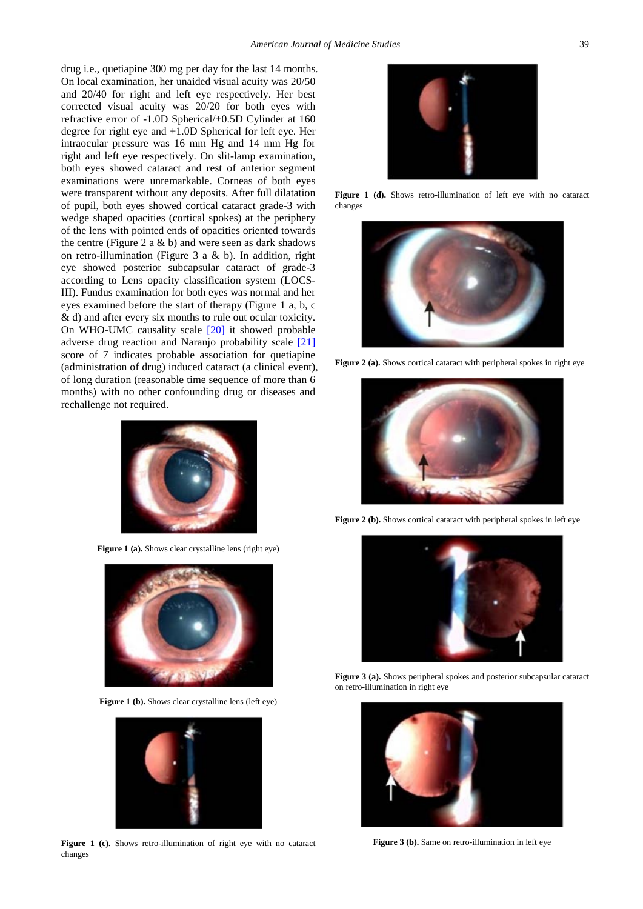drug i.e., quetiapine 300 mg per day for the last 14 months. On local examination, her unaided visual acuity was 20/50 and 20/40 for right and left eye respectively. Her best corrected visual acuity was 20/20 for both eyes with refractive error of -1.0D Spherical/+0.5D Cylinder at 160 degree for right eye and +1.0D Spherical for left eye. Her intraocular pressure was 16 mm Hg and 14 mm Hg for right and left eye respectively. On slit-lamp examination, both eyes showed cataract and rest of anterior segment examinations were unremarkable. Corneas of both eyes were transparent without any deposits. After full dilatation of pupil, both eyes showed cortical cataract grade-3 with wedge shaped opacities (cortical spokes) at the periphery of the lens with pointed ends of opacities oriented towards the centre (Figure 2 a  $\&$  b) and were seen as dark shadows on retro-illumination (Figure 3 a & b). In addition, right eye showed posterior subcapsular cataract of grade-3 according to Lens opacity classification system (LOCS-III). Fundus examination for both eyes was normal and her eyes examined before the start of therapy (Figure 1 a, b, c & d) and after every six months to rule out ocular toxicity. On WHO-UMC causality scale [\[20\]](#page-3-4) it showed probable adverse drug reaction and Naranjo probability scale [21] score of 7 indicates probable association for quetiapine (administration of drug) induced cataract (a clinical event), of long duration (reasonable time sequence of more than 6 months) with no other confounding drug or diseases and rechallenge not required.



**Figure 1 (a).** Shows clear crystalline lens (right eye)



**Figure 1 (b).** Shows clear crystalline lens (left eye)



**Figure 1 (c).** Shows retro-illumination of right eye with no cataract changes



Figure 1 (d). Shows retro-illumination of left eye with no cataract changes



**Figure 2 (a).** Shows cortical cataract with peripheral spokes in right eye



**Figure 2 (b).** Shows cortical cataract with peripheral spokes in left eye



Figure 3 (a). Shows peripheral spokes and posterior subcapsular cataract on retro-illumination in right eye



**Figure 3 (b).** Same on retro-illumination in left eye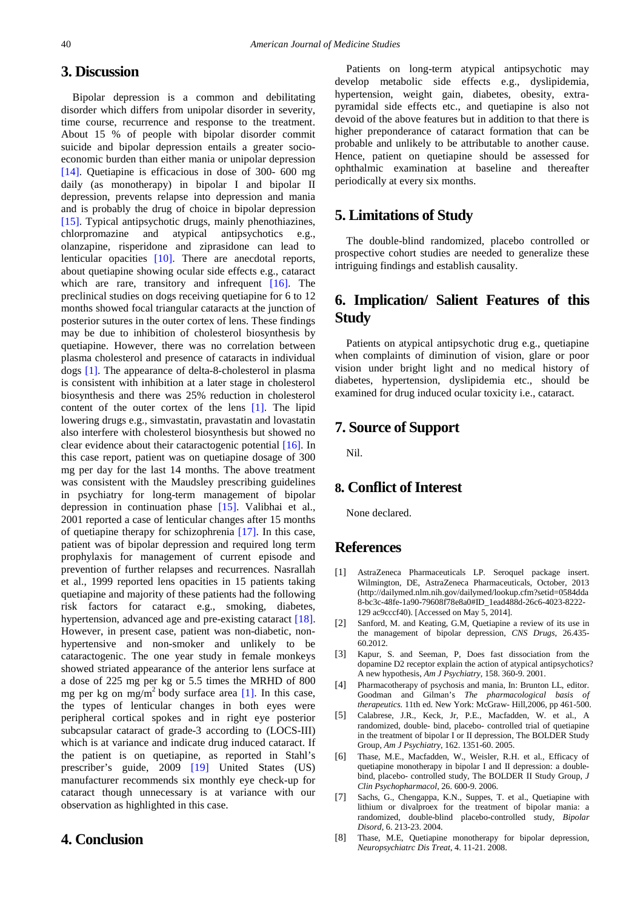#### **3. Discussion**

Bipolar depression is a common and debilitating disorder which differs from unipolar disorder in severity, time course, recurrence and response to the treatment. About 15 % of people with bipolar disorder commit suicide and bipolar depression entails a greater socioeconomic burden than either mania or unipolar depression [\[14\].](#page-3-5) Quetiapine is efficacious in dose of 300- 600 mg daily (as monotherapy) in bipolar I and bipolar II depression, prevents relapse into depression and mania and is probably the drug of choice in bipolar depression [\[15\].](#page-3-6) Typical antipsychotic drugs, mainly phenothiazines, chlorpromazine and atypical antipsychotics e.g., olanzapine, risperidone and ziprasidone can lead to lenticular opacities [\[10\].](#page-3-1) There are anecdotal reports, about quetiapine showing ocular side effects e.g., cataract which are rare, transitory and infrequent [\[16\].](#page-3-7) The preclinical studies on dogs receiving quetiapine for 6 to 12 months showed focal triangular cataracts at the junction of posterior sutures in the outer cortex of lens. These findings may be due to inhibition of cholesterol biosynthesis by quetiapine. However, there was no correlation between plasma cholesterol and presence of cataracts in individual dogs [\[1\].](#page-2-0) The appearance of delta-8-cholesterol in plasma is consistent with inhibition at a later stage in cholesterol biosynthesis and there was 25% reduction in cholesterol content of the outer cortex of the lens [\[1\].](#page-2-0) The lipid lowering drugs e.g., simvastatin, pravastatin and lovastatin also interfere with cholesterol biosynthesis but showed no clear evidence about their cataractogenic potential [\[16\].](#page-3-7) In this case report, patient was on quetiapine dosage of 300 mg per day for the last 14 months. The above treatment was consistent with the Maudsley prescribing guidelines in psychiatry for long-term management of bipolar depression in continuation phase [\[15\].](#page-3-6) Valibhai et al., 2001 reported a case of lenticular changes after 15 months of quetiapine therapy for schizophrenia [\[17\].](#page-3-8) In this case, patient was of bipolar depression and required long term prophylaxis for management of current episode and prevention of further relapses and recurrences. Nasrallah et al., 1999 reported lens opacities in 15 patients taking quetiapine and majority of these patients had the following risk factors for cataract e.g., smoking, diabetes, hypertension, advanced age and pre-existing cataract [\[18\].](#page-3-9) However, in present case, patient was non-diabetic, nonhypertensive and non-smoker and unlikely to be cataractogenic. The one year study in female monkeys showed striated appearance of the anterior lens surface at a dose of 225 mg per kg or 5.5 times the MRHD of 800 mg per kg on mg/m<sup>2</sup> body surface area [\[1\].](#page-2-0) In this case, the types of lenticular changes in both eyes were peripheral cortical spokes and in right eye posterior subcapsular cataract of grade-3 according to (LOCS-III) which is at variance and indicate drug induced cataract. If the patient is on quetiapine, as reported in Stahl's prescriber's guide, 2009 [\[19\]](#page-3-10) United States (US) manufacturer recommends six monthly eye check-up for cataract though unnecessary is at variance with our observation as highlighted in this case.

#### **4. Conclusion**

Patients on long-term atypical antipsychotic may develop metabolic side effects e.g., dyslipidemia, hypertension, weight gain, diabetes, obesity, extrapyramidal side effects etc., and quetiapine is also not devoid of the above features but in addition to that there is higher preponderance of cataract formation that can be probable and unlikely to be attributable to another cause. Hence, patient on quetiapine should be assessed for ophthalmic examination at baseline and thereafter periodically at every six months.

#### **5. Limitations of Study**

The double-blind randomized, placebo controlled or prospective cohort studies are needed to generalize these intriguing findings and establish causality.

## **6. Implication/ Salient Features of this Study**

Patients on atypical antipsychotic drug e.g., quetiapine when complaints of diminution of vision, glare or poor vision under bright light and no medical history of diabetes, hypertension, dyslipidemia etc., should be examined for drug induced ocular toxicity i.e., cataract.

### **7. Source of Support**

Nil.

### **8. Conflict of Interest**

None declared.

### **References**

- <span id="page-2-0"></span>[1] AstraZeneca Pharmaceuticals LP. Seroquel package insert. Wilmington, DE, AstraZeneca Pharmaceuticals, October, 2013 (http://dailymed.nlm.nih.gov/dailymed/lookup.cfm?setid=0584dda 8-bc3c-48fe-1a90-79608f78e8a0#ID\_1ead488d-26c6-4023-8222- 129 ac9cccf40). [Accessed on May 5, 2014].
- <span id="page-2-6"></span>[2] Sanford, M. and Keating, G.M, Quetiapine a review of its use in the management of bipolar depression, *CNS Drugs*, 26.435- 60.2012.
- <span id="page-2-1"></span>[3] Kapur, S. and Seeman, P, Does fast dissociation from the dopamine D2 receptor explain the action of atypical antipsychotics? A new hypothesis, *Am J Psychiatry*, 158. 360-9. 2001.
- <span id="page-2-2"></span>[4] Pharmacotherapy of psychosis and mania, In: Brunton LL, editor. Goodman and Gilman's *The pharmacological basis of therapeutics*. 11th ed. New York: McGraw- Hill,2006, pp 461-500.
- <span id="page-2-3"></span>[5] Calabrese, J.R., Keck, Jr, P.E., Macfadden, W. et al., A randomized, double- bind, placebo- controlled trial of quetiapine in the treatment of bipolar I or II depression, The BOLDER Study Group, *Am J Psychiatry*, 162. 1351-60. 2005.
- [6] Thase, M.E., Macfadden, W., Weisler, R.H. et al., Efficacy of quetiapine monotherapy in bipolar I and II depression: a doublebind, placebo- controlled study, The BOLDER II Study Group, *J Clin Psychopharmacol*, 26. 600-9. 2006.
- <span id="page-2-4"></span>[7] Sachs, G., Chengappa, K.N., Suppes, T. et al., Quetiapine with lithium or divalproex for the treatment of bipolar mania: a randomized, double-blind placebo-controlled study, *Bipolar Disord*, 6. 213-23. 2004.
- <span id="page-2-5"></span>[8] Thase, M.E, Quetiapine monotherapy for bipolar depression, *Neuropsychiatrc Dis Treat*, 4. 11-21. 2008.